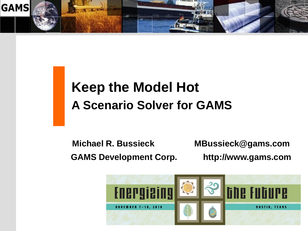

# **Keep the Model Hot A Scenario Solver for GAMS**

**Michael R. Bussieck MBussieck@gams.com GAMS Development Corp. http://www.gams.com**

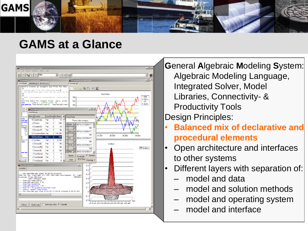

#### **GAMS at a Glance**



**G**eneral **A**lgebraic **M**odeling **S**ystem: Algebraic Modeling Language, Integrated Solver, Model Libraries, Connectivity- & Productivity Tools Design Principles:

- **Balanced mix of declarative and procedural elements**
- Open architecture and interfaces to other systems
- Different layers with separation of:
	- model and data
	- model and solution methods
	- model and operating system
	- model and interface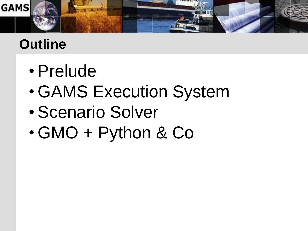

# **Outline**

- Prelude
- GAMS Execution System
- Scenario Solver
- GMO + Python & Co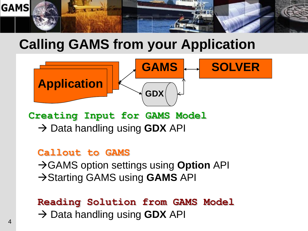

## **Calling GAMS from your Application**



**Creating Input for GAMS Model** → Data handling using **GDX** API

#### **Callout to GAMS**

**→ GAMS option settings using Option API**  $\rightarrow$  Starting GAMS using **GAMS** API

#### **Reading Solution from GAMS Model** → Data handling using **GDX** API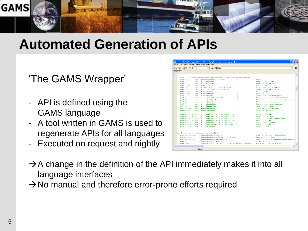

#### **Automated Generation of APIs**

#### 'The GAMS Wrapper'

- API is defined using the GAMS language
- A tool written in GAMS is used to regenerate APIs for all languages
- Executed on request and nightly

|                                                            | IDE File Edit Search Windows Utilities Model Libraries Help                                                           |                                           |
|------------------------------------------------------------|-----------------------------------------------------------------------------------------------------------------------|-------------------------------------------|
| 周<br>$\mathbf{V}_\text{eff}$                               | $\sim$ mkcop<br>$\n  6\n$<br>$\mathbf{v}$<br>$\left\{ \cdot \right\}$                                                 | $\blacktriangledown$                      |
| gmoapi.gms                                                 |                                                                                                                       |                                           |
|                                                            |                                                                                                                       |                                           |
| cmoNodelTvpe                                               | * Properties reading/writing data that originally came from control vectors<br>.int. ( r.getHodelType<br>.v.modeltvpe | Model Type                                |
| cano II                                                    | .GetRows<br>Hint.                                                                                                     | Number of equations                       |
| cmoN                                                       | . <b>GetC</b><br>$int.$ $r$                                                                                           | Number of variables                       |
| cmoScaleOpt                                                | (int, (tr, w).ScaleOpt                                                                                                | Scaling Flag                              |
| cmoSense                                                   | .int. ( r.direction<br>.v.setObiSense                                                                                 | Direction of optimization                 |
| cmoObiVar                                                  | .GetObiVar .w.SetObiVar<br>(int, (r                                                                                   | Objective variable index                  |
| cmoOptFile                                                 | . $int.$ $(fr, w)$ . $OptFile$                                                                                        | Ontfile Number                            |
| cmoPriorOpt                                                | $(int.((r, w).$ prioropt                                                                                              | Priority Flag                             |
| cmoNLConst                                                 | (int.((r, w).niconst                                                                                                  | length of NL constant pool                |
| cmoNZ                                                      | .GetNonZeros.w.NZ<br>$\int$ int, $\int$ r                                                                             | Number of non zeros in contraints         |
| cmoNLN2                                                    | .GetNLNonZeros<br>$int.$ $r$                                                                                          | Number on nonlinear non zeros in constrai |
| cmoNLN                                                     | .GetNLRows<br>$int.$ $r$                                                                                              | Number of nonlinear rows                  |
| cmoNLN                                                     | .GetNLCols<br>$int.$ $r$                                                                                              | Number of nonlinear columns               |
| gmoObjRow                                                  | .GetObiRow<br>$int.$ $r$                                                                                              | Objective row index                       |
|                                                            | cmoDictionary .int. ((r.w). Dictionary                                                                                | Dictionary file written                   |
| cmoHaveBasis                                               | .int. ((r.w).havebasis                                                                                                | Do we have basis                          |
| cmoNameOptFile .oSS.(r                                     | .NameOptFile .w.SetNameOptfile                                                                                        | Option file name                          |
| cmoNameSolFile .oSS.(r                                     | .NameSolFile .u.SetNameSolFile                                                                                        | Solution file name                        |
| cmoNameXLib                                                | $.$ Name $D11$<br>.u.SetNameDLL<br>.055.1 <sub>r</sub>                                                                | External Function Library Name            |
| cmoNameMatFile .oSS.(r                                     | .NameNatFile .u.SetNameNatFile                                                                                        | Matrix file name                          |
| cmoNameDict                                                | .u.SetNameDict<br>.035.1r<br>.NameDict                                                                                | Dictionary file name                      |
| qmoNameParams . oSS. (r                                    | .NameParams , w.SetNameParams                                                                                         | Params file name                          |
| cmoNameInput                                               | .055. r<br>.NameInput                                                                                                 | Input file name                           |
|                                                            | set f(en, tp, ea, ta) function and procedures /                                                                       |                                           |
| cmoLoadDataLecacv                                          | . (0.result.int.1.msq.oSS)                                                                                            | Read GMO instance - Legacy Mode           |
| cmoInitData<br>. (0. result.int, 1. rows.int, 2. cols.int) |                                                                                                                       | Initializes GMO data                      |
| cmoCompleteData                                            | . (0. result.int. 1. instname. CSS)                                                                                   | Complete GMO data instance needs lots of  |
| cmoOMaker                                                  | . (0. result.int. 1. density. D)                                                                                      | Create OP Info.                           |
| amoGetObiQ                                                 | . (0. result. int. 1. colldx. PLIA. 2. rowldx. PLIA. 3. coef. PDA)                                                    | Get Q matrix for objective                |
|                                                            |                                                                                                                       |                                           |

- $\rightarrow$  A change in the definition of the API immediately makes it into all language interfaces
- $\rightarrow$  No manual and therefore error-prone efforts required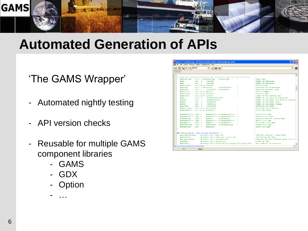

#### **Automated Generation of APIs**

#### 'The GAMS Wrapper'

- Automated nightly testing
- API version checks
- Reusable for multiple GAMS component libraries
	- GAMS
	- GDX
	- **Option**

- …

| gamside: C:\tmp\tmp.gpr - [C:\home\Jan\vs8_alpha\src\apiwrap\gmoapi.gms]                              |                                           |  |  |  |
|-------------------------------------------------------------------------------------------------------|-------------------------------------------|--|--|--|
| IDE File Edit Search Windows Utilities Model Libraries Help                                           |                                           |  |  |  |
| $\sim$ mkcop<br>8<br>$\Box$ (c) $\bigcirc$ $\bigcirc$                                                 | 鼶<br>$\blacksquare$                       |  |  |  |
| gmoapi.gms                                                                                            |                                           |  |  |  |
|                                                                                                       | $\hat{\phantom{a}}$                       |  |  |  |
| * Properties reading/writing data that originally came from control vectors                           |                                           |  |  |  |
| cmoModelTvpe<br>.int. ( r. detModelTvpe<br>.v.modeltvpe                                               | <b>Model Type</b>                         |  |  |  |
| <b>CONDO M</b><br>$int.$ $r$<br>.GetRows                                                              | Number of equations                       |  |  |  |
| . <b>GetC</b><br>cmoN<br>$int.$ $r$                                                                   | Number of variables                       |  |  |  |
| cmoScaleOpt<br>(int, (tr, w).ScaleOpt                                                                 | Scaling Flag                              |  |  |  |
| cmoSense<br>.int. ( r.direction<br>.v.setObiSense                                                     | Direction of optimization                 |  |  |  |
| cmn ObiVar<br>.GetObiVar .w.SetObiVar<br>$\int$ int. $\int$ $\mathbf{r}$                              | Objective variable index                  |  |  |  |
| cmoOptFile<br>.int. $((r, w)$ . OptFile                                                               | Ontfile Number                            |  |  |  |
| qmoPriorOpt<br>$(int.((r, w).$ prioropt                                                               | Priority Flag                             |  |  |  |
| qmoNLConst<br>(int.((r, w).niconst                                                                    | length of NL constant pool                |  |  |  |
| qmoN2<br>.GetNonZeros.w.NZ<br>$\int$ . int. $\int$ r                                                  | Number of non zeros in contraints         |  |  |  |
| .GetNLNonZeros<br>cmoNLN2<br>$.\n$ int. $r$                                                           | Number on nonlinear non zeros in constrai |  |  |  |
| .GetNLRows<br>cmoNLN<br>$150E1 - F$                                                                   | Number of nonlinear rows                  |  |  |  |
| cmoNLN<br>.GetNLCols<br>$int.$ $r$                                                                    | Number of nonlinear columns               |  |  |  |
| caso Ob 1 Row<br>.GetObiRow<br>$int.$ $r$                                                             | Objective row index                       |  |  |  |
| cmoDictionary .int. ((r.w). Dictionary                                                                | Dictionary file written                   |  |  |  |
| <b>GmoHaveBasis</b><br>.int. ((r.w).havebasis                                                         | Do we have basis                          |  |  |  |
| cmoNameOptFile .oSS.(r<br>.NameOptFile .w.SetNameOptfile                                              | Ontion file name                          |  |  |  |
| cmoNameSolFile .oSS.(r<br>.NameSolFile .w.SetNameSolFile                                              | Solution file name                        |  |  |  |
| cmoNameXLib<br>.055.1.7<br>$.$ Name $D11$<br>.u.SetNameDLL                                            | External Function Library Name            |  |  |  |
| cmoNameMatFile .oSS.(r<br>.NameNatFile .u.SetNameNatFile<br>n                                         | Matrix file name                          |  |  |  |
| cmoNameDict<br>$.055.$ $($ r<br>.NameDict<br>, w. SetNameDict                                         | Dictionary file name                      |  |  |  |
| cmoNameParams .oSS.(r<br>.NameParams .v.SetNameParams<br>n                                            | Params file name                          |  |  |  |
| cmoNameInput<br>$.055.$ $r$<br>.NameInput                                                             | Input file name                           |  |  |  |
|                                                                                                       |                                           |  |  |  |
|                                                                                                       |                                           |  |  |  |
| set f(en, tp, ea, ta) function and procedures /<br>cmoLoadDataLecracy<br>. (0.result.int.1.msc.oSS)   | Read GMO instance - Legacy Mode           |  |  |  |
| <b>GEOLDITEDATA</b>                                                                                   | Initializes GMO data                      |  |  |  |
| . (0. result.int, 1. rows.int, 2. cols.int)<br>cmoCompleteData<br>. (0. result.int. 1. instname. CSS) | Complete GMO data instance needs lots of  |  |  |  |
| cmoONaker<br>. (0. result.int. 1. density. D)                                                         | Create OP Info.                           |  |  |  |
| . (0. result.int. 1. colldx. PLIA. 2. rowldx. PLIA. 3. coef. PDA)<br>amoGetObiQ                       | Get Q matrix for objective                |  |  |  |
|                                                                                                       |                                           |  |  |  |
| $\overline{\left( 1\right. }%$                                                                        | $\rightarrow$                             |  |  |  |
| 1:1<br>Insert                                                                                         |                                           |  |  |  |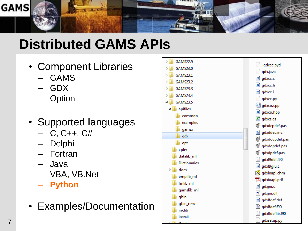

# **Distributed GAMS APIs**

- Component Libraries
	- GAMS
	- GDX
	- **Option**
- Supported languages
	- $-$  C, C++, C#
	- Delphi
	- Fortran
	- Java
	- VBA, VB.Net
	- **Python**
- Examples/Documentation

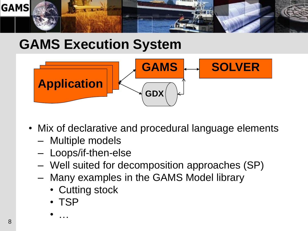

## **GAMS Execution System**



- Mix of declarative and procedural language elements
	- Multiple models
	- Loops/if-then-else
	- Well suited for decomposition approaches (SP)
	- Many examples in the GAMS Model library
		- Cutting stock
		- TSP

• …

8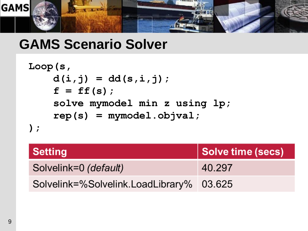

### **GAMS Scenario Solver**

```
Loop(s,
    d(i,j) = dd(s,i,j);
    f = ff(s);
    solve mymodel min z using lp;
    rep(s) = mymodel.objval;
);
```

| <b>Setting</b>                           | Solve time (secs) |
|------------------------------------------|-------------------|
| Solvelink=0 (default)                    | 40.297            |
| Solvelink=%Solvelink.LoadLibrary% 03.625 |                   |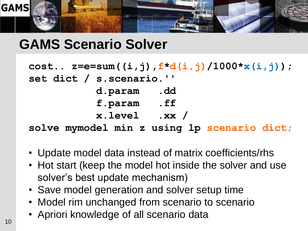

## **GAMS Scenario Solver**

```
cost.. z=e=sum((i,j),f*d(i,j)/1000*x(i,j));
set dict / s.scenario.''
          d.param .dd
           f.param .ff
          x.level .xx /
solve mymodel min z using lp scenario dict;
```
- Update model data instead of matrix coefficients/rhs
- Hot start (keep the model hot inside the solver and use solver's best update mechanism)
- Save model generation and solver setup time
- Model rim unchanged from scenario to scenario
- Apriori knowledge of all scenario data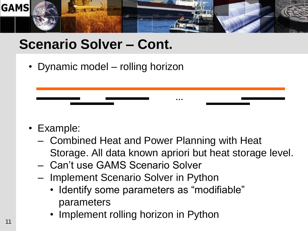

## **Scenario Solver – Cont.**

• Dynamic model – rolling horizon

- Example:
	- Combined Heat and Power Planning with Heat Storage. All data known apriori but heat storage level.

**…**

- Can"t use GAMS Scenario Solver
- Implement Scenario Solver in Python
	- Identify some parameters as "modifiable" parameters
	- Implement rolling horizon in Python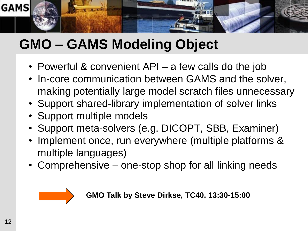

# **GMO – GAMS Modeling Object**

- Powerful & convenient API a few calls do the job
- In-core communication between GAMS and the solver, making potentially large model scratch files unnecessary
- Support shared-library implementation of solver links
- Support multiple models
- Support meta-solvers (e.g. DICOPT, SBB, Examiner)
- Implement once, run everywhere (multiple platforms & multiple languages)
- Comprehensive one-stop shop for all linking needs



**GMO Talk by Steve Dirkse, TC40, 13:30-15:00**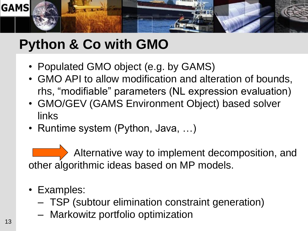

# **Python & Co with GMO**

- Populated GMO object (e.g. by GAMS)
- GMO API to allow modification and alteration of bounds, rhs, "modifiable" parameters (NL expression evaluation)
- GMO/GEV (GAMS Environment Object) based solver links
- Runtime system (Python, Java, ...)

Alternative way to implement decomposition, and other algorithmic ideas based on MP models.

- Examples:
	- TSP (subtour elimination constraint generation)
	- Markowitz portfolio optimization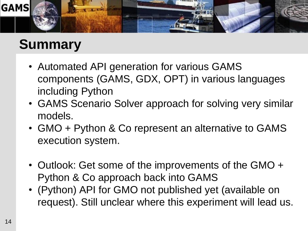

### **Summary**

- Automated API generation for various GAMS components (GAMS, GDX, OPT) in various languages including Python
- GAMS Scenario Solver approach for solving very similar models.
- GMO + Python & Co represent an alternative to GAMS execution system.
- Outlook: Get some of the improvements of the GMO + Python & Co approach back into GAMS
- (Python) API for GMO not published yet (available on request). Still unclear where this experiment will lead us.